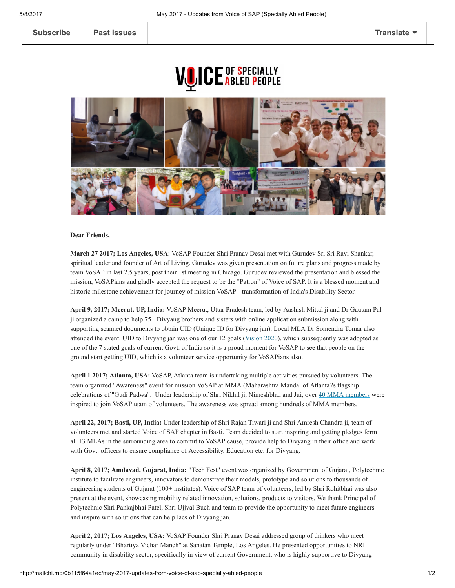## **VUICE ABLED PEOPLE**



## Dear Friends,

March 27 2017; Los Angeles, USA: VoSAP Founder Shri Pranav Desai met with Gurudev Sri Sri Ravi Shankar, spiritual leader and founder of Art of Living. Gurudev was given presentation on future plans and progress made by team VoSAP in last 2.5 years, post their 1st meeting in Chicago. Gurudev reviewed the presentation and blessed the mission, VoSAPians and gladly accepted the request to be the "Patron" of Voice of SAP. It is a blessed moment and historic milestone achievement for journey of mission VoSAP transformation of India's Disability Sector.

April 9, 2017; Meerut, UP, India: VoSAP Meerut, Uttar Pradesh team, led by Aashish Mittal ji and Dr Gautam Pal ji organized a camp to help 75+ Divyang brothers and sisters with online application submission along with supporting scanned documents to obtain UID (Unique ID for Divyang jan). Local MLA Dr Somendra Tomar also attended the event. UID to Divyang jan was one of our 12 goals (*[Vision](https://www.youtube.com/watch?v=xsLxferwtfg) 2020*), which subsequently was adopted as one of the 7 stated goals of current Govt. of India so it is a proud moment for VoSAP to see that people on the ground start getting UID, which is a volunteer service opportunity for VoSAPians also.

April 1 2017; Atlanta, USA: VoSAP, Atlanta team is undertaking multiple activities pursued by volunteers. The team organized "Awareness" event for mission VoSAP at MMA (Maharashtra Mandal of Atlanta)'s flagship celebrations of "Gudi Padwa". Under leadership of Shri Nikhil ji, Nimeshbhai and Jui, over 40 MMA [members](http://voiceofsap.com/news/vosap-celebrates-gudi-padwa-with-maharashtra-mandal-of-atlanta/) were inspired to join VoSAP team of volunteers. The awareness was spread among hundreds of MMA members.

April 22, 2017; Basti, UP, India: Under leadership of Shri Rajan Tiwari ji and Shri Amresh Chandra ji, team of volunteers met and started Voice of SAP chapter in Basti. Team decided to start inspiring and getting pledges form all 13 MLAs in the surrounding area to commit to VoSAP cause, provide help to Divyang in their office and work with Govt. officers to ensure compliance of Accessibility, Education etc. for Divyang.

April 8, 2017; Amdavad, Gujarat, India: "Tech Fest" event was organized by Government of Gujarat, Polytechnic institute to facilitate engineers, innovators to demonstrate their models, prototype and solutions to thousands of engineering students of Gujarat (100+ institutes). Voice of SAP team of volunteers, led by Shri Rohitbhai was also present at the event, showcasing mobility related innovation, solutions, products to visitors. We thank Principal of Polytechnic Shri Pankajbhai Patel, Shri Ujjval Buch and team to provide the opportunity to meet future engineers and inspire with solutions that can help lacs of Divyang jan.

April 2, 2017; Los Angeles, USA: VoSAP Founder Shri Pranav Desai addressed group of thinkers who meet regularly under "Bhartiya Vichar Manch" at Sanatan Temple, Los Angeles. He presented opportunities to NRI community in disability sector, specifically in view of current Government, who is highly supportive to Divyang